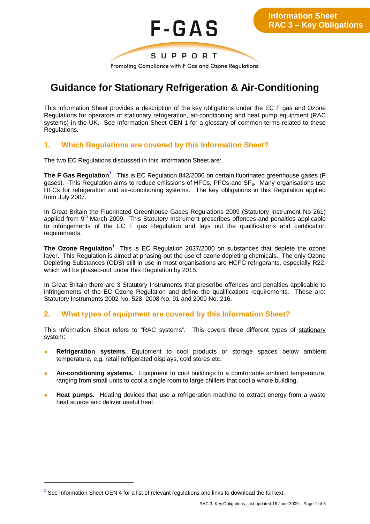

# **Guidance for Stationary Refrigeration & Air-Conditioning**

This Information Sheet provides a description of the key obligations under the EC F gas and Ozone Regulations for operators of stationary refrigeration, air-conditioning and heat pump equipment (RAC systems) in the UK. See Information Sheet GEN 1 for a glossary of common terms related to these Regulations.

# **1. Which Regulations are covered by this Information Sheet?**

The two EC Regulations discussed in this Information Sheet are:

The F Gas Regulation<sup>1</sup>. This is EC Regulation 842/2006 on certain fluorinated greenhouse gases (F gases). This Regulation aims to reduce emissions of HFCs, PFCs and  $SF<sub>6</sub>$ . Many organisations use HFCs for refrigeration and air-conditioning systems. The key obligations in this Regulation applied from July 2007.

In Great Britain the Fluorinated Greenhouse Gases Regulations 2009 (Statutory Instrument No 261) applied from 9<sup>th</sup> March 2009. This Statutory Instrument prescribes offences and penalties applicable to infringements of the EC F gas Regulation and lays out the qualifications and certification requirements.

**The Ozone Regulation<sup>1</sup>** This is EC Regulation 2037/2000 on substances that deplete the ozone layer. This Regulation is aimed at phasing-out the use of ozone depleting chemicals. The only Ozone Depleting Substances (ODS) still in use in most organisations are HCFC refrigerants, especially R22, which will be phased-out under this Regulation by 2015.

In Great Britain there are 3 Statutory Instruments that prescribe offences and penalties applicable to infringements of the EC Ozone Regulation and define the qualifications requirements. These are: Statutory Instruments 2002 No. 528, 2008 No. 91 and 2009 No. 216.

# **2. What types of equipment are covered by this Information Sheet?**

This Information Sheet refers to "RAC systems". This covers three different types of stationary system:

- **Refrigeration systems.** Equipment to cool products or storage spaces below ambient temperature, e.g. retail refrigerated displays, cold stores etc.
- Air-conditioning systems. Equipment to cool buildings to a comfortable ambient temperature, ranging from small units to cool a single room to large chillers that cool a whole building.
- **Heat pumps.** Heating devices that use a refrigeration machine to extract energy from a waste heat source and deliver useful heat.

**<sup>1</sup>** See Information Sheet GEN 4 for a list of relevant regulations and links to download the full text.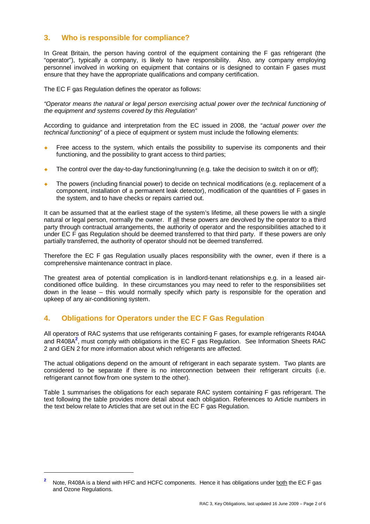# **3. Who is responsible for compliance?**

In Great Britain, the person having control of the equipment containing the F gas refrigerant (the "operator"), typically a company, is likely to have responsibility. Also, any company employing personnel involved in working on equipment that contains or is designed to contain F gases must ensure that they have the appropriate qualifications and company certification.

The EC F gas Regulation defines the operator as follows:

*"Operator means the natural or legal person exercising actual power over the technical functioning of the equipment and systems covered by this Regulation"*

According to guidance and interpretation from the EC issued in 2008, the "*actual power over the technical functioning*" of a piece of equipment or system must include the following elements:

- Free access to the system, which entails the possibility to supervise its components and their functioning, and the possibility to grant access to third parties;
- The control over the day-to-day functioning/running (e.g. take the decision to switch it on or off);
- The powers (including financial power) to decide on technical modifications (e.g. replacement of a component, installation of a permanent leak detector), modification of the quantities of F gases in the system, and to have checks or repairs carried out.

It can be assumed that at the earliest stage of the system's lifetime, all these powers lie with a single natural or legal person, normally the owner. If all these powers are devolved by the operator to a third party through contractual arrangements, the authority of operator and the responsibilities attached to it under EC F gas Regulation should be deemed transferred to that third party. If these powers are only partially transferred, the authority of operator should not be deemed transferred.

Therefore the EC F gas Regulation usually places responsibility with the owner, even if there is a comprehensive maintenance contract in place.

The greatest area of potential complication is in landlord-tenant relationships e.g. in a leased airconditioned office building. In these circumstances you may need to refer to the responsibilities set down in the lease – this would normally specify which party is responsible for the operation and upkeep of any air-conditioning system.

# **4. Obligations for Operators under the EC F Gas Regulation**

All operators of RAC systems that use refrigerants containing F gases, for example refrigerants R404A and R408A**<sup>2</sup>** , must comply with obligations in the EC F gas Regulation. See Information Sheets RAC 2 and GEN 2 for more information about which refrigerants are affected.

The actual obligations depend on the amount of refrigerant in each separate system. Two plants are considered to be separate if there is no interconnection between their refrigerant circuits (i.e. refrigerant cannot flow from one system to the other).

Table 1 summarises the obligations for each separate RAC system containing F gas refrigerant. The text following the table provides more detail about each obligation. References to Article numbers in the text below relate to Articles that are set out in the EC F gas Regulation.

**<sup>2</sup>** Note, R408A is a blend with HFC and HCFC components. Hence it has obligations under both the EC F gas and Ozone Regulations.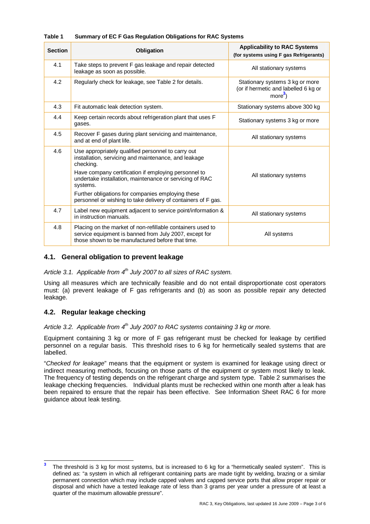| <b>Section</b> | Obligation                                                                                                                                                               | <b>Applicability to RAC Systems</b><br>(for systems using F gas Refrigerants)                |
|----------------|--------------------------------------------------------------------------------------------------------------------------------------------------------------------------|----------------------------------------------------------------------------------------------|
| 4.1            | Take steps to prevent F gas leakage and repair detected<br>leakage as soon as possible.                                                                                  | All stationary systems                                                                       |
| 4.2            | Regularly check for leakage, see Table 2 for details.                                                                                                                    | Stationary systems 3 kg or more<br>(or if hermetic and labelled 6 kg or<br>more <sup>3</sup> |
| 4.3            | Fit automatic leak detection system.                                                                                                                                     | Stationary systems above 300 kg                                                              |
| 4.4            | Keep certain records about refrigeration plant that uses F<br>gases.                                                                                                     | Stationary systems 3 kg or more                                                              |
| 4.5            | Recover F gases during plant servicing and maintenance,<br>and at end of plant life.                                                                                     | All stationary systems                                                                       |
| 4.6            | Use appropriately qualified personnel to carry out<br>installation, servicing and maintenance, and leakage<br>checking.                                                  |                                                                                              |
|                | Have company certification if employing personnel to<br>undertake installation, maintenance or servicing of RAC<br>systems.                                              | All stationary systems                                                                       |
|                | Further obligations for companies employing these<br>personnel or wishing to take delivery of containers of F gas.                                                       |                                                                                              |
| 4.7            | Label new equipment adjacent to service point/information &<br>in instruction manuals.                                                                                   | All stationary systems                                                                       |
| 4.8            | Placing on the market of non-refillable containers used to<br>service equipment is banned from July 2007, except for<br>those shown to be manufactured before that time. | All systems                                                                                  |

# **Table 1 Summary of EC F Gas Regulation Obligations for RAC Systems**

# **4.1. General obligation to prevent leakage**

*Article 3.1. Applicable from 4th July 2007 to all sizes of RAC system.*

Using all measures which are technically feasible and do not entail disproportionate cost operators must: (a) prevent leakage of F gas refrigerants and (b) as soon as possible repair any detected leakage.

# **4.2. Regular leakage checking**

*Article 3.2. Applicable from 4th July 2007 to RAC systems containing 3 kg or more.*

Equipment containing 3 kg or more of F gas refrigerant must be checked for leakage by certified personnel on a regular basis. This threshold rises to 6 kg for hermetically sealed systems that are labelled.

"*Checked for leakage*" means that the equipment or system is examined for leakage using direct or indirect measuring methods, focusing on those parts of the equipment or system most likely to leak. The frequency of testing depends on the refrigerant charge and system type. Table 2 summarises the leakage checking frequencies. Individual plants must be rechecked within one month after a leak has been repaired to ensure that the repair has been effective. See Information Sheet RAC 6 for more guidance about leak testing.

**<sup>3</sup>** The threshold is 3 kg for most systems, but is increased to 6 kg for a "hermetically sealed system". This is defined as: "a system in which all refrigerant containing parts are made tight by welding, brazing or a similar permanent connection which may include capped valves and capped service ports that allow proper repair or disposal and which have a tested leakage rate of less than 3 grams per year under a pressure of at least a quarter of the maximum allowable pressure".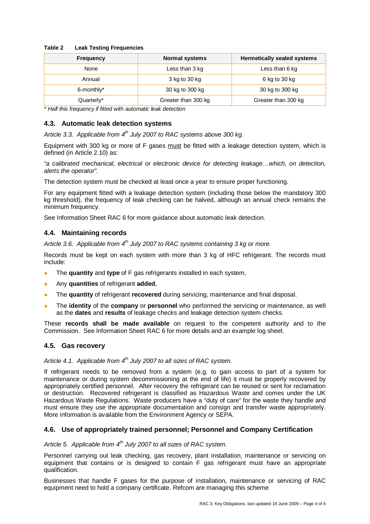#### **Table 2 Leak Testing Frequencies**

| <b>Frequency</b> | <b>Normal systems</b> | <b>Hermetically sealed systems</b> |
|------------------|-----------------------|------------------------------------|
| None             | Less than 3 kg        | Less than 6 kg                     |
| Annual           | 3 kg to 30 kg         | 6 kg to 30 kg                      |
| 6-monthly*       | 30 kg to 300 kg       | 30 kg to 300 kg                    |
| Quarterly*       | Greater than 300 kg   | Greater than 300 kg                |

*\* Half this frequency if fitted with automatic leak detection*

# **4.3. Automatic leak detection systems**

*Article 3.3. Applicable from 4th July 2007 to RAC systems above 300 kg.*

Equipment with 300 kg or more of F gases must be fitted with a leakage detection system, which is defined (in Article 2.10) as:

*"a calibrated mechanical, electrical or electronic device for detecting leakage…which, on detection, alerts the operator".*

The detection system must be checked at least once a year to ensure proper functioning.

For any equipment fitted with a leakage detection system (including those below the mandatory 300 kg threshold), the frequency of leak checking can be halved, although an annual check remains the minimum frequency.

See Information Sheet RAC 6 for more guidance about automatic leak detection.

# **4.4. Maintaining records**

*Article 3.6. Applicable from 4th July 2007 to RAC systems containing 3 kg or more.*

Records must be kept on each system with more than 3 kg of HFC refrigerant. The records must include:

- The **quantity** and **type** of F gas refrigerants installed in each system,
- ¡ Any **quantities** of refrigerant **added**,
- ¡ The **quantity** of refrigerant **recovered** during servicing, maintenance and final disposal.
- ¡ The **identity** of the **company** or **personnel** who performed the servicing or maintenance, as well as the **dates** and **results** of leakage checks and leakage detection system checks.

These **records shall be made available** on request to the competent authority and to the Commission. See Information Sheet RAC 6 for more details and an example log sheet.

# **4.5. Gas recovery**

# *Article 4.1. Applicable from 4th July 2007 to all sizes of RAC system.*

If refrigerant needs to be removed from a system (e.g. to gain access to part of a system for maintenance or during system decommissioning at the end of life) it must be properly recovered by appropriately certified personnel. After recovery the refrigerant can be reused or sent for reclamation or destruction. Recovered refrigerant is classified as Hazardous Waste and comes under the UK Hazardous Waste Regulations. Waste producers have a "duty of care" for the waste they handle and must ensure they use the appropriate documentation and consign and transfer waste appropriately. More information is available from the Environment Agency or SEPA.

# **4.6. Use of appropriately trained personnel; Personnel and Company Certification**

#### *Article 5. Applicable from 4th July 2007 to all sizes of RAC system.*

Personnel carrying out leak checking, gas recovery, plant installation, maintenance or servicing on equipment that contains or is designed to contain F gas refrigerant must have an appropriate qualification.

Businesses that handle F gases for the purpose of installation, maintenance or servicing of RAC equipment need to hold a company certificate. Refcom are managing this scheme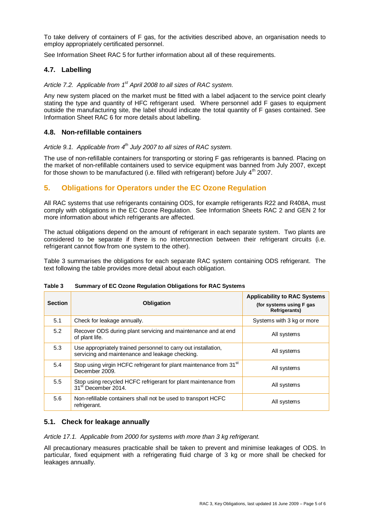To take delivery of containers of F gas, for the activities described above, an organisation needs to employ appropriately certificated personnel.

See Information Sheet RAC 5 for further information about all of these requirements.

# **4.7. Labelling**

*Article 7.2. Applicable from 1st April 2008 to all sizes of RAC system.*

Any new system placed on the market must be fitted with a label adjacent to the service point clearly stating the type and quantity of HFC refrigerant used. Where personnel add F gases to equipment outside the manufacturing site, the label should indicate the total quantity of F gases contained. See Information Sheet RAC 6 for more details about labelling.

# **4.8. Non-refillable containers**

*Article 9.1. Applicable from 4th July 2007 to all sizes of RAC system.*

The use of non-refillable containers for transporting or storing F gas refrigerants is banned. Placing on the market of non-refillable containers used to service equipment was banned from July 2007, except for those shown to be manufactured (i.e. filled with refrigerant) before July  $4<sup>th</sup>$  2007.

# **5. Obligations for Operators under the EC Ozone Regulation**

All RAC systems that use refrigerants containing ODS, for example refrigerants R22 and R408A, must comply with obligations in the EC Ozone Regulation. See Information Sheets RAC 2 and GEN 2 for more information about which refrigerants are affected.

The actual obligations depend on the amount of refrigerant in each separate system. Two plants are considered to be separate if there is no interconnection between their refrigerant circuits (i.e. refrigerant cannot flow from one system to the other).

Table 3 summarises the obligations for each separate RAC system containing ODS refrigerant. The text following the table provides more detail about each obligation.

| <b>Section</b> | Obligation                                                                                                        | <b>Applicability to RAC Systems</b><br>(for systems using F gas<br><b>Refrigerants)</b> |
|----------------|-------------------------------------------------------------------------------------------------------------------|-----------------------------------------------------------------------------------------|
| 5.1            | Check for leakage annually.                                                                                       | Systems with 3 kg or more                                                               |
| 5.2            | Recover ODS during plant servicing and maintenance and at end<br>of plant life.                                   | All systems                                                                             |
| 5.3            | Use appropriately trained personnel to carry out installation,<br>servicing and maintenance and leakage checking. | All systems                                                                             |
| 5.4            | Stop using virgin HCFC refrigerant for plant maintenance from 31 <sup>st</sup><br>December 2009.                  | All systems                                                                             |
| 5.5            | Stop using recycled HCFC refrigerant for plant maintenance from<br>31 <sup>st</sup> December 2014.                | All systems                                                                             |
| 5.6            | Non-refillable containers shall not be used to transport HCFC<br>refrigerant.                                     | All systems                                                                             |

#### **Table 3 Summary of EC Ozone Regulation Obligations for RAC Systems**

# **5.1. Check for leakage annually**

*Article 17.1. Applicable from 2000 for systems with more than 3 kg refrigerant.*

All precautionary measures practicable shall be taken to prevent and minimise leakages of ODS. In particular, fixed equipment with a refrigerating fluid charge of 3 kg or more shall be checked for leakages annually.